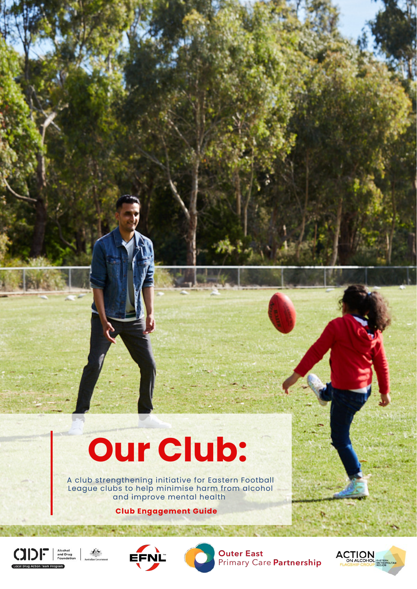

## **Our Club:**

A club strengthening initiative for Eastern Football League clubs to help minimise harm from alcohol and improve mental health

 **Club Engagement Guide** 







**Outer East** Primary Care Partnership

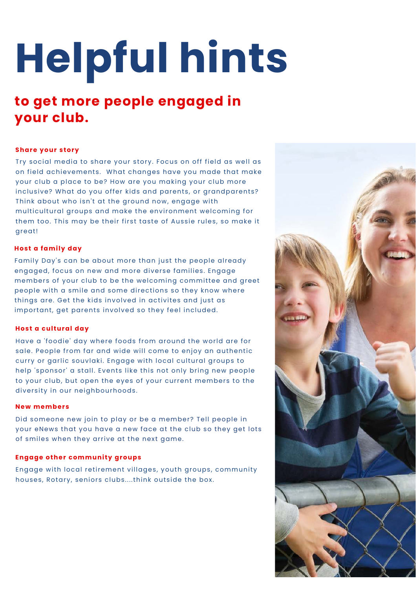# **Helpful hints**

### **to get more people engaged in your club.**

#### **Share your story**

Try social media to share your story. Focus on off field as well as on field achievements. What changes have you made that make your club a place to be? How are you making your club more inclusive? What do you offer kids and parents, or grandparents? Think about who isn't at the ground now, engage with multicultural groups and make the environment welcoming for them too. This may be their first taste of Aussie rules, so make it great!

#### **Host a family day**

Family Day's can be about more than just the people already engaged, focus on new and more diverse families. Engage members of your club to be the welcoming committee and greet people with a smile and some directions so they know where things are. Get the kids involved in activites and just as important, get parents involved so they feel included.



#### **Host a cultural day**

Did someone new join to play or be a member? Tell people in your eNews that you have a new face at the club so they get lots of smiles when they arrive at the next game.

#### **Engage other community groups**

Engage with local retirement villages, youth groups, community houses, Rotary, seniors clubs....think outside the box.

Have a 'foodie' day where foods from around the world are for sale. People from far and wide will come to enjoy an authentic curry or garlic souvlaki. Engage with local cultural groups to help 'sponsor' a stall. Events like this not only bring new people to your club, but open the eyes of your current members to the diversity in our neighbourhoods.

#### **N e w m e m b e r s**